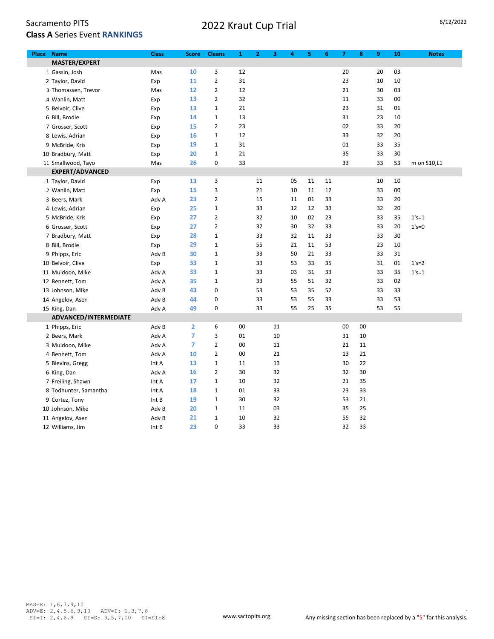## 2022 Kraut Cup Trial 6/12/2022

| <b>Name</b><br>Place  | <b>Class</b> | <b>Score</b>   | <b>Cleans</b>  | $\mathbf{1}$ | $\mathbf{z}$ | 3  | 4  | 5  | 6  | $\overline{7}$ | 8  | 9  | 10     | <b>Notes</b> |
|-----------------------|--------------|----------------|----------------|--------------|--------------|----|----|----|----|----------------|----|----|--------|--------------|
| MASTER/EXPERT         |              |                |                |              |              |    |    |    |    |                |    |    |        |              |
| 1 Gassin, Josh        | Mas          | 10             | 3              | 12           |              |    |    |    |    | 20             |    | 20 | 03     |              |
| 2 Taylor, David       | Exp          | 11             | $\overline{2}$ | 31           |              |    |    |    |    | 23             |    | 10 | $10\,$ |              |
| 3 Thomassen, Trevor   | Mas          | 12             | $\overline{2}$ | 12           |              |    |    |    |    | 21             |    | 30 | 03     |              |
| 4 Wanlin, Matt        | Exp          | 13             | $\overline{2}$ | 32           |              |    |    |    |    | 11             |    | 33 | 00     |              |
| 5 Belvoir, Clive      | Exp          | 13             | $\mathbf 1$    | 21           |              |    |    |    |    | 23             |    | 31 | 01     |              |
| 6 Bill, Brodie        | Exp          | 14             | $\mathbf 1$    | 13           |              |    |    |    |    | 31             |    | 23 | 10     |              |
| 7 Grosser, Scott      | Exp          | 15             | $\overline{2}$ | 23           |              |    |    |    |    | 02             |    | 33 | 20     |              |
| 8 Lewis, Adrian       | Exp          | 16             | $\mathbf{1}$   | 12           |              |    |    |    |    | 33             |    | 32 | 20     |              |
| 9 McBride, Kris       | Exp          | 19             | $\mathbf{1}$   | 31           |              |    |    |    |    | 01             |    | 33 | 35     |              |
| 10 Bradbury, Matt     | Exp          | 20             | $\mathbf 1$    | 21           |              |    |    |    |    | 35             |    | 33 | 30     |              |
| 11 Smallwood, Tayo    | Mas          | 26             | 0              | 33           |              |    |    |    |    | 33             |    | 33 | 53     | m on S10,L1  |
| EXPERT/ADVANCED       |              |                |                |              |              |    |    |    |    |                |    |    |        |              |
| 1 Taylor, David       | Exp          | 13             | 3              |              | 11           |    | 05 | 11 | 11 |                |    | 10 | 10     |              |
| 2 Wanlin, Matt        | Exp          | 15             | 3              |              | 21           |    | 10 | 11 | 12 |                |    | 33 | 00     |              |
| 3 Beers, Mark         | Adv A        | 23             | $\overline{2}$ |              | 15           |    | 11 | 01 | 33 |                |    | 33 | 20     |              |
| 4 Lewis, Adrian       | Exp          | 25             | $\mathbf 1$    |              | 33           |    | 12 | 12 | 33 |                |    | 32 | 20     |              |
| 5 McBride, Kris       | Exp          | 27             | $\overline{2}$ |              | 32           |    | 10 | 02 | 23 |                |    | 33 | 35     | $1's = 1$    |
| 6 Grosser, Scott      | Exp          | 27             | $\overline{2}$ |              | 32           |    | 30 | 32 | 33 |                |    | 33 | 20     | $1's=0$      |
| 7 Bradbury, Matt      | Exp          | 28             | $\mathbf 1$    |              | 33           |    | 32 | 11 | 33 |                |    | 33 | 30     |              |
| 8 Bill, Brodie        | Exp          | 29             | $\mathbf 1$    |              | 55           |    | 21 | 11 | 53 |                |    | 23 | 10     |              |
| 9 Phipps, Eric        | Adv B        | 30             | $\mathbf 1$    |              | 33           |    | 50 | 21 | 33 |                |    | 33 | 31     |              |
| 10 Belvoir, Clive     | Exp          | 33             | 1              |              | 33           |    | 53 | 33 | 35 |                |    | 31 | 01     | $1's = 2$    |
| 11 Muldoon, Mike      | Adv A        | 33             | $\mathbf 1$    |              | 33           |    | 03 | 31 | 33 |                |    | 33 | 35     | $1's = 1$    |
| 12 Bennett, Tom       | Adv A        | 35             | $\mathbf{1}$   |              | 33           |    | 55 | 51 | 32 |                |    | 33 | 02     |              |
| 13 Johnson, Mike      | Adv B        | 43             | 0              |              | 53           |    | 53 | 35 | 52 |                |    | 33 | 33     |              |
| 14 Angelov, Asen      | Adv B        | 44             | 0              |              | 33           |    | 53 | 55 | 33 |                |    | 33 | 53     |              |
| 15 King, Dan          | Adv A        | 49             | 0              |              | 33           |    | 55 | 25 | 35 |                |    | 53 | 55     |              |
| ADVANCED/INTERMEDIATE |              |                |                |              |              |    |    |    |    |                |    |    |        |              |
| 1 Phipps, Eric        | Adv B        | $\overline{2}$ | 6              | 00           |              | 11 |    |    |    | 00             | 00 |    |        |              |
| 2 Beers, Mark         | Adv A        | 7              | 3              | 01           |              | 10 |    |    |    | 31             | 10 |    |        |              |
| 3 Muldoon, Mike       | Adv A        | $\overline{7}$ | $\overline{2}$ | 00           |              | 11 |    |    |    | 21             | 11 |    |        |              |
| 4 Bennett, Tom        | Adv A        | 10             | $\overline{2}$ | 00           |              | 21 |    |    |    | 13             | 21 |    |        |              |
| 5 Blevins, Gregg      | Int A        | 13             | $\mathbf{1}$   | 11           |              | 13 |    |    |    | 30             | 22 |    |        |              |
| 6 King, Dan           | Adv A        | 16             | $\overline{2}$ | 30           |              | 32 |    |    |    | 32             | 30 |    |        |              |
| 7 Freiling, Shawn     | Int A        | 17             | $\mathbf{1}$   | 10           |              | 32 |    |    |    | 21             | 35 |    |        |              |
| 8 Todhunter, Samantha | Int A        | 18             | $\mathbf 1$    | 01           |              | 33 |    |    |    | 23             | 33 |    |        |              |
| 9 Cortez, Tony        | Int B        | 19             | $\mathbf 1$    | 30           |              | 32 |    |    |    | 53             | 21 |    |        |              |
| 10 Johnson, Mike      | Adv B        | 20             | $\mathbf 1$    | 11           |              | 03 |    |    |    | 35             | 25 |    |        |              |
| 11 Angelov, Asen      | Adv B        | 21             | $\mathbf{1}$   | 10           |              | 32 |    |    |    | 55             | 32 |    |        |              |
| 12 Williams, Jim      | Int B        | 23             | 0              | 33           |              | 33 |    |    |    | 32             | 33 |    |        |              |

.